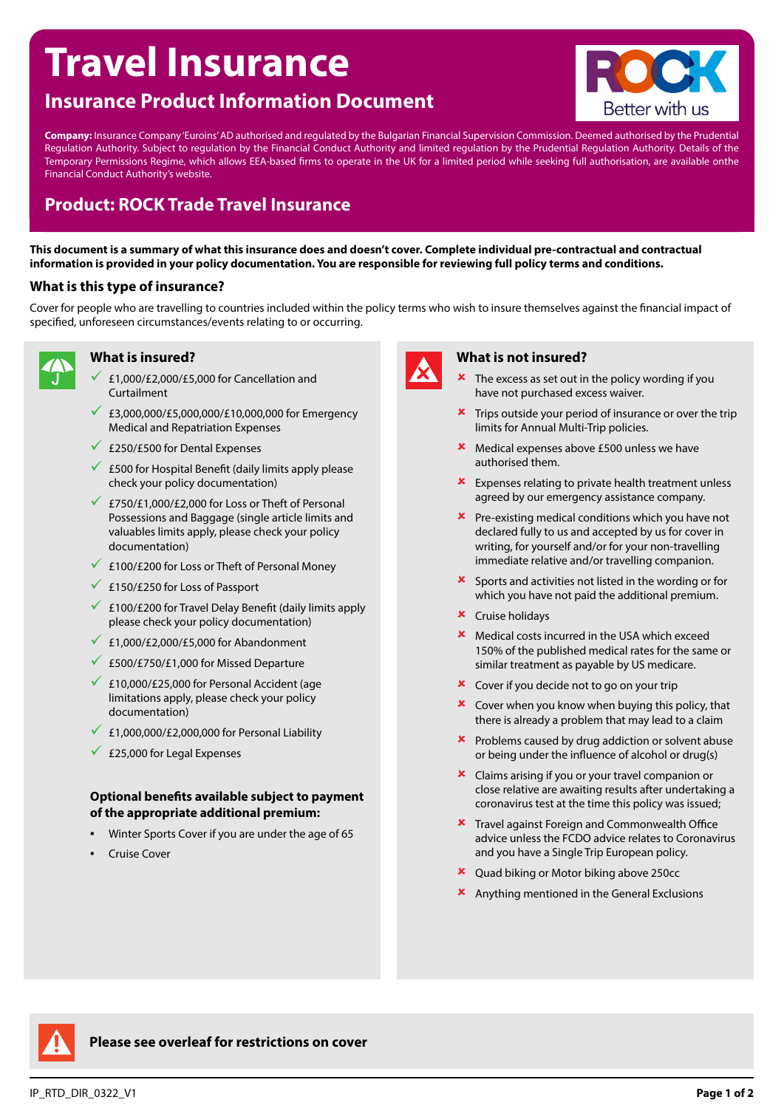# **Travel Insurance**

## **Insurance Product Information Document**



**Company:** Insurance Company 'Euroins' AD authorised and regulated by the Bulgarian Financial Supervision Commission. Deemed authorised by the Prudential Regulation Authority. Subject to regulation by the Financial Conduct Authority and limited regulation by the Prudential Regulation Authority. Details of the Temporary Permissions Regime, which allows EEA-based firms to operate in the UK for a limited period while seeking full authorisation, are available onthe Financial Conduct Authority's website.

## **Product: ROCK Trade Travel Insurance**

**This document is a summary of what this insurance does and doesn't cover. Complete individual pre-contractual and contractual information is provided in your policy documentation. You are responsible for reviewing full policy terms and conditions.**

#### **What is this type of insurance?**

Cover for people who are travelling to countries included within the policy terms who wish to insure themselves against the financial impact of specified, unforeseen circumstances/events relating to or occurring.



### **What is insured?**

- 9 £1,000/£2,000/£5,000 for Cancellation and Curtailment
- $€3,000,000/E5,000,000/E10,000,000$  for Emergency Medical and Repatriation Expenses
- $\sqrt{250/F500}$  for Dental Expenses
- $\overline{6}$  £500 for Hospital Benefit (daily limits apply please check your policy documentation)
- £750/£1,000/£2,000 for Loss or Theft of Personal Possessions and Baggage (single article limits and valuables limits apply, please check your policy documentation)
- $\times$  £100/£200 for Loss or Theft of Personal Money
- $\sqrt{250}$  £150/£250 for Loss of Passport
- $\leq$  £100/£200 for Travel Delay Benefit (daily limits apply please check your policy documentation)
- $\angle$  £1,000/£2,000/£5,000 for Abandonment
- $\sqrt{2500/F750/F1,000}$  for Missed Departure
- $\sqrt{25,000}$  for Personal Accident (age limitations apply, please check your policy documentation)
- $\angle$  £1,000,000/£2,000,000 for Personal Liability
- $\overline{25,000}$  for Legal Expenses

#### **Optional benefits available subject to payment of the appropriate additional premium:**

- Winter Sports Cover if you are under the age of 65
- Cruise Cover



#### **What is not insured?**

- The excess as set out in the policy wording if you have not purchased excess waiver.
- $\star$  Trips outside your period of insurance or over the trip limits for Annual Multi-Trip policies.
- **\*** Medical expenses above £500 unless we have authorised them.
- $\star$  Expenses relating to private health treatment unless agreed by our emergency assistance company.
- $\mathbf{\times}$  Pre-existing medical conditions which you have not declared fully to us and accepted by us for cover in writing, for yourself and/or for your non-travelling immediate relative and/or travelling companion.
- 8 Sports and activities not listed in the wording or for which you have not paid the additional premium.
- $\star$  Cruise holidays
- 8 Medical costs incurred in the USA which exceed 150% of the published medical rates for the same or similar treatment as payable by US medicare.
- $\star$  Cover if you decide not to go on your trip
- $\star$  Cover when you know when buying this policy, that there is already a problem that may lead to a claim
- $\boldsymbol{\times}$  Problems caused by drug addiction or solvent abuse or being under the influence of alcohol or drug(s)
- 8 Claims arising if you or your travel companion or close relative are awaiting results after undertaking a coronavirus test at the time this policy was issued;
- **\*** Travel against Foreign and Commonwealth Office advice unless the FCDO advice relates to Coronavirus and you have a Single Trip European policy.
- $\overline{\phantom{a}}$  Quad biking or Motor biking above 250cc
- $\frac{\text{R}}{\text{R}}$  Anything mentioned in the General Exclusions



**Please see overleaf for restrictions on cover**